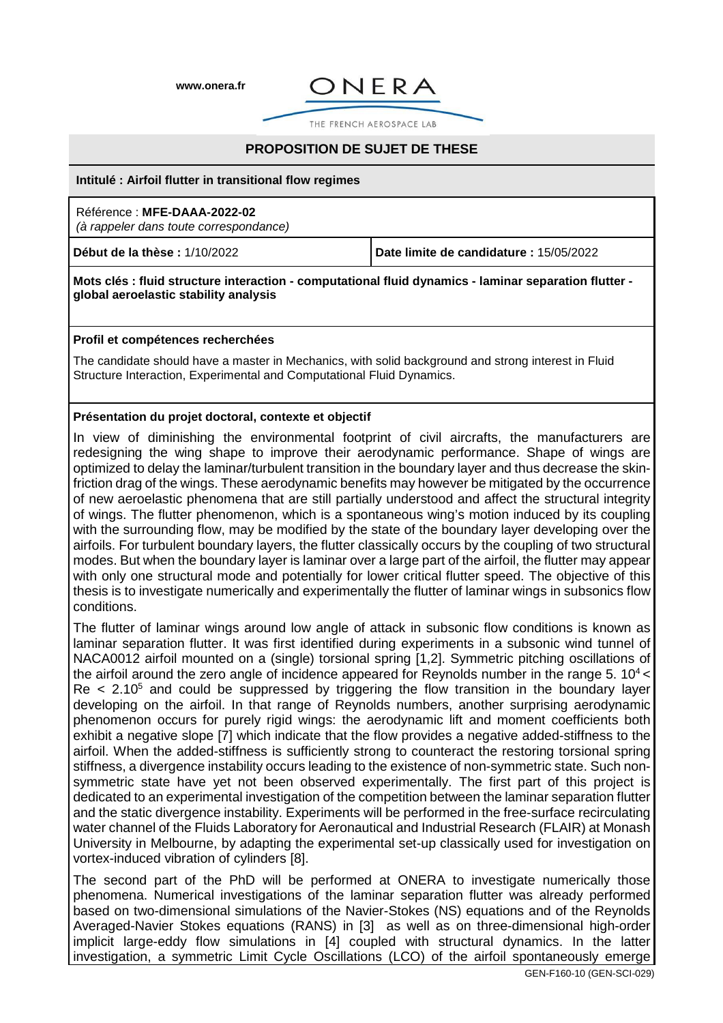**www.onera.fr**



THE FRENCH AEROSPACE LAB

# **PROPOSITION DE SUJET DE THESE**

#### **Intitulé : Airfoil flutter in transitional flow regimes**

# Référence : **MFE-DAAA-2022-02**

(à rappeler dans toute correspondance)

**Début de la thèse :** 1/10/2022 **Date limite de candidature :** 15/05/2022

#### **Mots clés : fluid structure interaction - computational fluid dynamics - laminar separation flutter global aeroelastic stability analysis**

### **Profil et compétences recherchées**

The candidate should have a master in Mechanics, with solid background and strong interest in Fluid Structure Interaction, Experimental and Computational Fluid Dynamics.

## **Présentation du projet doctoral, contexte et objectif**

In view of diminishing the environmental footprint of civil aircrafts, the manufacturers are redesigning the wing shape to improve their aerodynamic performance. Shape of wings are optimized to delay the laminar/turbulent transition in the boundary layer and thus decrease the skinfriction drag of the wings. These aerodynamic benefits may however be mitigated by the occurrence of new aeroelastic phenomena that are still partially understood and affect the structural integrity of wings. The flutter phenomenon, which is a spontaneous wing's motion induced by its coupling with the surrounding flow, may be modified by the state of the boundary layer developing over the airfoils. For turbulent boundary layers, the flutter classically occurs by the coupling of two structural modes. But when the boundary layer is laminar over a large part of the airfoil, the flutter may appear with only one structural mode and potentially for lower critical flutter speed. The objective of this thesis is to investigate numerically and experimentally the flutter of laminar wings in subsonics flow conditions.

The flutter of laminar wings around low angle of attack in subsonic flow conditions is known as laminar separation flutter. It was first identified during experiments in a subsonic wind tunnel of NACA0012 airfoil mounted on a (single) torsional spring [1,2]. Symmetric pitching oscillations of the airfoil around the zero angle of incidence appeared for Reynolds number in the range 5.  $10<sup>4</sup>$  $Re < 2.10<sup>5</sup>$  and could be suppressed by triggering the flow transition in the boundary layer developing on the airfoil. In that range of Reynolds numbers, another surprising aerodynamic phenomenon occurs for purely rigid wings: the aerodynamic lift and moment coefficients both exhibit a negative slope [7] which indicate that the flow provides a negative added-stiffness to the airfoil. When the added-stiffness is sufficiently strong to counteract the restoring torsional spring stiffness, a divergence instability occurs leading to the existence of non-symmetric state. Such nonsymmetric state have yet not been observed experimentally. The first part of this project is dedicated to an experimental investigation of the competition between the laminar separation flutter and the static divergence instability. Experiments will be performed in the free-surface recirculating water channel of the Fluids Laboratory for Aeronautical and Industrial Research (FLAIR) at Monash University in Melbourne, by adapting the experimental set-up classically used for investigation on vortex-induced vibration of cylinders [8].

The second part of the PhD will be performed at ONERA to investigate numerically those phenomena. Numerical investigations of the laminar separation flutter was already performed based on two-dimensional simulations of the Navier-Stokes (NS) equations and of the Reynolds Averaged-Navier Stokes equations (RANS) in [3] as well as on three-dimensional high-order implicit large-eddy flow simulations in [4] coupled with structural dynamics. In the latter investigation, a symmetric Limit Cycle Oscillations (LCO) of the airfoil spontaneously emerge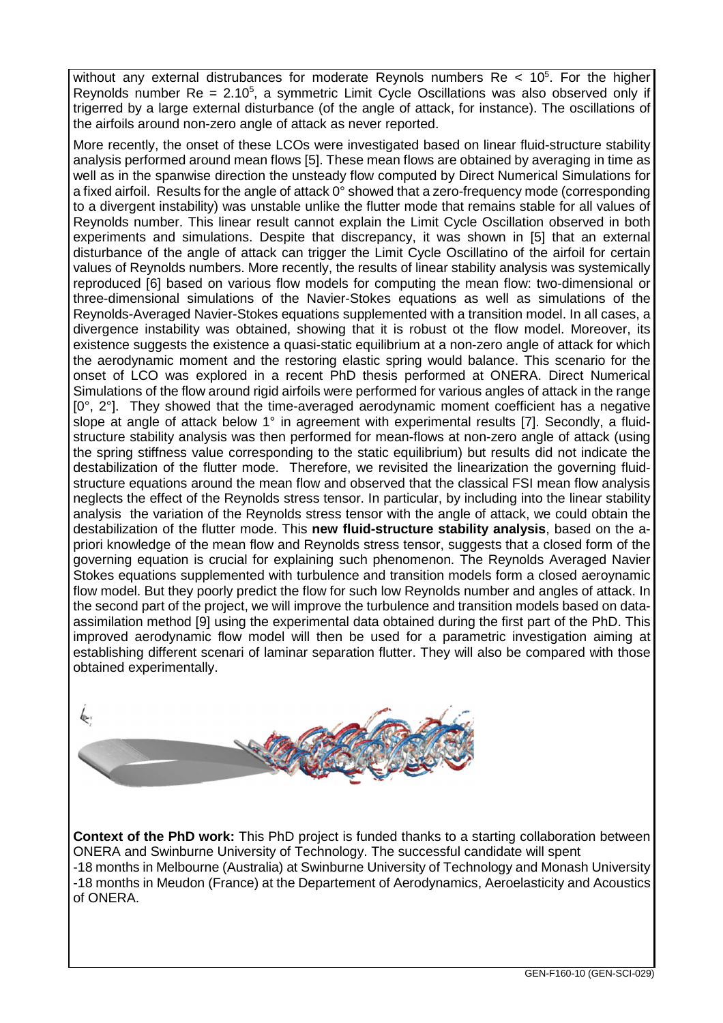without any external distrubances for moderate Reynols numbers  $Re < 10<sup>5</sup>$ . For the higher Reynolds number  $Re = 2.10<sup>5</sup>$ , a symmetric Limit Cycle Oscillations was also observed only if trigerred by a large external disturbance (of the angle of attack, for instance). The oscillations of the airfoils around non-zero angle of attack as never reported.

More recently, the onset of these LCOs were investigated based on linear fluid-structure stability analysis performed around mean flows [5]. These mean flows are obtained by averaging in time as well as in the spanwise direction the unsteady flow computed by Direct Numerical Simulations for a fixed airfoil. Results for the angle of attack 0° showed that a zero-frequency mode (corresponding to a divergent instability) was unstable unlike the flutter mode that remains stable for all values of Reynolds number. This linear result cannot explain the Limit Cycle Oscillation observed in both experiments and simulations. Despite that discrepancy, it was shown in [5] that an external disturbance of the angle of attack can trigger the Limit Cycle Oscillatino of the airfoil for certain values of Reynolds numbers. More recently, the results of linear stability analysis was systemically reproduced [6] based on various flow models for computing the mean flow: two-dimensional or three-dimensional simulations of the Navier-Stokes equations as well as simulations of the Reynolds-Averaged Navier-Stokes equations supplemented with a transition model. In all cases, a divergence instability was obtained, showing that it is robust ot the flow model. Moreover, its existence suggests the existence a quasi-static equilibrium at a non-zero angle of attack for which the aerodynamic moment and the restoring elastic spring would balance. This scenario for the onset of LCO was explored in a recent PhD thesis performed at ONERA. Direct Numerical Simulations of the flow around rigid airfoils were performed for various angles of attack in the range  $[0^\circ, 2^\circ]$ . They showed that the time-averaged aerodynamic moment coefficient has a negative slope at angle of attack below 1° in agreement with experimental results [7]. Secondly, a fluidstructure stability analysis was then performed for mean-flows at non-zero angle of attack (using the spring stiffness value corresponding to the static equilibrium) but results did not indicate the destabilization of the flutter mode. Therefore, we revisited the linearization the governing fluidstructure equations around the mean flow and observed that the classical FSI mean flow analysis neglects the effect of the Reynolds stress tensor. In particular, by including into the linear stability analysis the variation of the Reynolds stress tensor with the angle of attack, we could obtain the destabilization of the flutter mode. This **new fluid-structure stability analysis**, based on the apriori knowledge of the mean flow and Reynolds stress tensor, suggests that a closed form of the governing equation is crucial for explaining such phenomenon. The Reynolds Averaged Navier Stokes equations supplemented with turbulence and transition models form a closed aeroynamic flow model. But they poorly predict the flow for such low Reynolds number and angles of attack. In the second part of the project, we will improve the turbulence and transition models based on dataassimilation method [9] using the experimental data obtained during the first part of the PhD. This improved aerodynamic flow model will then be used for a parametric investigation aiming at establishing different scenari of laminar separation flutter. They will also be compared with those obtained experimentally.



**Context of the PhD work:** This PhD project is funded thanks to a starting collaboration between ONERA and Swinburne University of Technology. The successful candidate will spent -18 months in Melbourne (Australia) at Swinburne University of Technology and Monash University -18 months in Meudon (France) at the Departement of Aerodynamics, Aeroelasticity and Acoustics of ONERA.